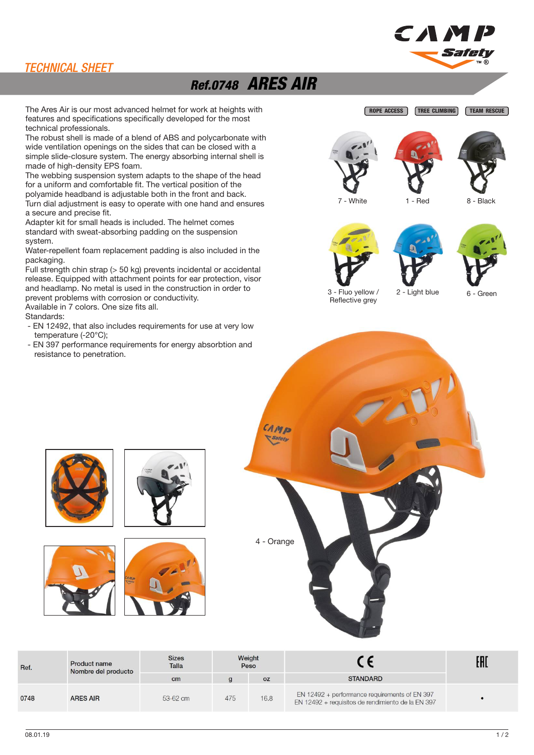### TECHNICAL SHEET

# Ref.0748 ARES AIR

The Ares Air is our most advanced helmet for work at heights with features and specifications specifically developed for the most technical professionals.

The robust shell is made of a blend of ABS and polycarbonate with wide ventilation openings on the sides that can be closed with a simple slide-closure system. The energy absorbing internal shell is made of high-density EPS foam.

The webbing suspension system adapts to the shape of the head for a uniform and comfortable fit. The vertical position of the polyamide headband is adjustable both in the front and back. Turn dial adjustment is easy to operate with one hand and ensures a secure and precise fit.

Adapter kit for small heads is included. The helmet comes standard with sweat-absorbing padding on the suspension system.

Water-repellent foam replacement padding is also included in the packaging.

Full strength chin strap (> 50 kg) prevents incidental or accidental release. Equipped with attachment points for ear protection, visor and headlamp. No metal is used in the construction in order to prevent problems with corrosion or conductivity. Available in 7 colors. One size fits all.

Standards:

- EN 12492, that also includes requirements for use at very low temperature (-20°C);
- EN 397 performance requirements for energy absorbtion and resistance to penetration.







CAM



3 - Fluo yellow / Reflective grey

2 - Light blue 6 - Green



| Ref. | Product name<br>Nombre del producto | <b>Sizes</b><br>Talla | Weight<br>Peso |           |                                                                                                    | EAI |
|------|-------------------------------------|-----------------------|----------------|-----------|----------------------------------------------------------------------------------------------------|-----|
|      |                                     | cm                    |                | <b>OZ</b> | <b>STANDARD</b>                                                                                    |     |
| 0748 | <b>ARES AIR</b>                     | 53-62 cm              | 475            | 16.8      | EN 12492 + performance requirements of EN 397<br>EN 12492 + requisitos de rendimiento de la EN 397 |     |









 $08.01.19$  and the contract of the contract of the contract of the contract of the contract of the contract of the contract of the contract of the contract of the contract of the contract of the contract of the contract o